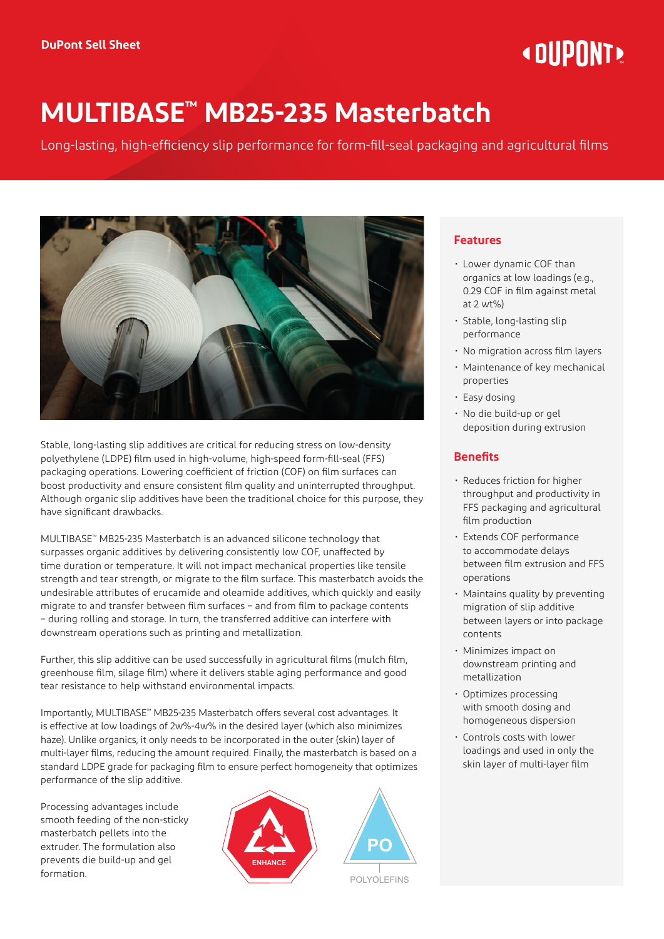# **« DIIPNNT!**

# **MULTIBASE™ MB25-235 Masterbatch**

Long-lasting, high-efficiency slip performance for form-fill-seal packaging and agricultural films



Stable, long-lasting slip additives are critical for reducing stress on low-density polyethylene (LDPE) film used in high-volume, high-speed form-fill-seal (FFS) packaging operations. Lowering coefficient of friction (COF) on film surfaces can boost productivity and ensure consistent film quality and uninterrupted throughput. Although organic slip additives have been the traditional choice for this purpose, they have significant drawbacks.

MULTIBASE™ MB25-235 Masterbatch is an advanced silicone technology that surpasses organic additives by delivering consistently low COF, unaffected by time duration or temperature. It will not impact mechanical properties like tensile strength and tear strength, or migrate to the film surface. This masterbatch avoids the undesirable attributes of erucamide and oleamide additives, which quickly and easily migrate to and transfer between film surfaces – and from film to package contents – during rolling and storage. In turn, the transferred additive can interfere with downstream operations such as printing and metallization.

Further, this slip additive can be used successfully in agricultural films (mulch film, greenhouse film, silage film) where it delivers stable aging performance and good tear resistance to help withstand environmental impacts.

Importantly, MULTIBASE™ MB25-235 Masterbatch offers several cost advantages. It is effective at low loadings of 2w%-4w% in the desired layer (which also minimizes haze). Unlike organics, it only needs to be incorporated in the outer (skin) layer of multi-layer films, reducing the amount required. Finally, the masterbatch is based on a standard LDPE grade for packaging film to ensure perfect homogeneity that optimizes performance of the slip additive.

Processing advantages include smooth feeding of the non-sticky masterbatch pellets into the extruder. The formulation also prevents die build-up and gel formation.





POLYOLEFINS

# **Features**

- Lower dynamic COF than organics at low loadings (e.g., 0.29 COF in film against metal at 2 wt%)
- Stable, long-lasting slip performance
- No migration across film layers
- Maintenance of key mechanical properties
- Easy dosing
- No die build-up or gel deposition during extrusion

# **Benefits**

- Reduces friction for higher throughput and productivity in FFS packaging and agricultural film production
- Extends COF performance to accommodate delays between film extrusion and FFS operations
- Maintains quality by preventing migration of slip additive between layers or into package contents
- Minimizes impact on downstream printing and metallization
- Optimizes processing with smooth dosing and homogeneous dispersion
- Controls costs with lower loadings and used in only the skin layer of multi-layer film